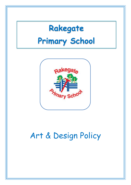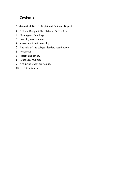# **Contents:**

[Statement of Intent, Implementation and Impact.](#page-2-0)

- **1.** [Art](#page-2-0) and Design in the National Curriculum
- **2.** [Planning and teaching](#page-4-0)
- **3.** [Learning environment](#page-5-0)
- **4.** [Assessment and recording](#page-5-1)
- **5.** [The role of the subject leader/](#page-6-0)coordinator
- **6.** [Resources](#page-6-1)
- **7.** [Health and safety](#page-6-2)
- **8.** [Equal opportunities](#page-7-0)
- **9.** [Art in the wider](#page-7-1) curriculum
- **10.** Policy Review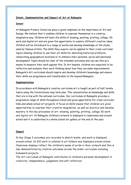#### <span id="page-2-0"></span>**Intent, Implementation and Impact of Art at Rakegate**

#### **Intent**

At Rakegate Primary School we place a great emphasis on the importance of Art and Design. We believe that it enables children to express themselves in a creative, imaginative way. Children will learn the skills of drawing, painting, printing, collage, 3D work and digital art and are given the opportunity to explore different creative ideas. Children will be introduced to a range of works and develop knowledge of the styles used by famous artists. The skills they acquire can be applied to their cross curricular topics allowing children to use their art skills for sketching historical artefacts, researching geographical locations or to enhance their personal, social and emotional development. Pupils should be clear of the intended outcomes and can use this as a means to measure their work against this. In Art lessons, children are expected to be reflective and evaluate their work thinking about how they can make improvements. Rakegate's Art curriculum should inspire and develop children's knowledge and ensure their skills are progressive and transferable to life beyond Rakegate.

#### **Implementation**

In accordance with Rakegate's creative curriculum art is taught as part of half termly topics using the Cornerstones long term plan. This concentrates on knowledge and skills that are in line with the national curriculum. Our curriculum at Rakegate provides a progressive range of skills throughout school and gives opportunity for cross curricular links and whole school art projects. A focus on skills means that children are given opportunities to express their creative imagination, as well as practice and develop mastery in the key processes of art: drawing, painting, printing, collage 3D work and digital art. At Rakegate children's artwork is displayed in classrooms and around school and it is celebrated in a whole school art gallery at the end of the year.

#### **Impact**

In key Stage 2 outcomes are recorded in sketch books, and work is displayed around school. In KS1 work is collated in art folders and displayed around school. Classroom displays reflect the children's sense of pride in their artwork and this is also demonstrated by creative outcomes across the wider curriculum including homework projects.

The Art curriculum at Rakegate contributes to children's personal development in creativity, independence, judgement and self-reflection.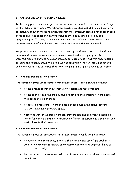### **1. Art and Design in Foundation Stage**

In the early years, we encourage creative work as this is part of the Foundation Stage of the National Curriculum. We relate the creative development of the children to the objectives set out in the EYFS which underpin the curriculum planning for children aged three to five. The children's learning includes art, music, dance, role-play and imaginative play. The range of experience encourages children to make connections between one area of learning and another and so extends their understanding.

We provide a rich environment in which we encourage and value creativity. Children are encouraged to make independent choices and select materials appropriately. Opportunities are provided to experience a wide range of activities that they respond to, using the various senses. We give them the opportunity to work alongside artists and other adults. The activities that they take part in are imaginative and enjoyable.

### **1.1 Art and Design in Key Stage 1**

The National Curriculum prescribes that at **Key Stage 1** pupils should be taught:

- To use a range of materials creatively to design and make products.
- To use drawing, painting and sculpture to develop their imagination and share their ideas and experiences.
- To develop a wide range of art and design techniques using colour, pattern, texture, line, shape, form and space.
- About the work of a range of artists, craft makers and designers, describing the differences and similarities between different practices and disciplines, and making links to their own work.

### **1.2 Art and Design in Key Stage 2**

The National Curriculum prescribes that at **Key Stage 2** pupils should be taught:

- To develop their techniques, including their control and use of material, with creativity, experimentation and an increasing awareness of different kinds of art, craft and design.
- To create sketch books to record their observations and use them to review and revisit ideas.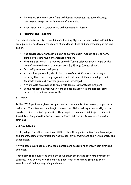- To improve their mastery of art and design techniques, including drawing, painting and sculpture, with a range of materials.
- About great artists, architects and designers in history.

## <span id="page-4-0"></span>**1. Planning and Teaching**

The school uses a variety of teaching and learning styles in art and design lessons. Our principal aim is to develop the children's knowledge, skills and understanding in art and design.

- The school uses a three level planning system: short, medium and long-term planning following the 'Cornerstones' projects.
- Planning is on SMART notebooks using different coloured slides to match the area of learning linked to Cornerstones E.g. Engage (orange slides).
- For D&T please see D&T policy.
- Art and Design planning should be *topic-led* and *skills based*, focussing on ensuring that there is a progression and children's skills are developed and secured throughout the year groups and key stages.
- Art projects are covered through half termly 'cornerstones' projects.
- In the foundation stage weekly art and design activities are planned; some initiated by children, some by staff.

#### . **2.1 EYFS**

In the EYFS, pupils are given the opportunity to explore texture, colour, shape, form and space. They develop their imagination and creativity and begin to investigate the qualities of materials and processes. They begin to use colour and shape to express themselves. They investigate the use of pattern and texture to represent ideas or emotions.

## **2.2 Key Stage 1**

At Key Stage 1 pupils develop their skills further through increasing their knowledge and understanding of materials and techniques, environments and their own identity and experiences.

At this stage pupils use colour, shape, pattern and texture to express their emotions and ideas.

They begin to ask questions and learn about other artists and art from a variety of cultures. They explore how the art was made, what it was made from and their thoughts and feelings regarding each piece.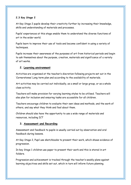### **2.3 Key Stage 2**

At Key Stage 2 pupils develop their creativity further by increasing their knowledge, skills and understanding of materials and processes.

Pupils' experiences at this stage enable them to understand the diverse functions of art in the wider world.

Pupils learn to improve their use of tools and become confident in using a variety of techniques.

Pupils increase their awareness of the purposes of art from historical periods and begin to ask themselves about the purpose, creation, materials and significance of a variety of art works.

### <span id="page-5-0"></span>**2. Learning environment**

Activities are organised at the teacher's discretion following projects set out in the 'Cornerstones' Long term plan and according to the availability of materials.

Art activities may be carried out individually, as a small or large group, or as a whole class activity.

Teachers will make provision for varying learning styles to be utilised. Teachers will also plan for inclusion and ensuring tasks are accessible for all children.

Teachers encourage children to evaluate their own ideas and methods, and the work of others, and say what they think and feel about them.

Children should also have the opportunity to use a wide range of materials and resources, including ICT

### <span id="page-5-1"></span>**3. Assessment and Recording**

Assessment and feedback to pupils is usually carried out by observation and oral feedback during lessons.

At Key Stage 2, Pupil use sketchbooks to present their work, which shows evidence of progression.

In key Stage 1 children use paper to present their work and this is stored in art folders.

Progression and achievement is tracked through the teacher's weekly plans against learning objectives and skills set out, which in turn will inform future planning.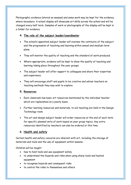Photographic evidence (stored on seesaw) and some work may be kept for the evidence, where necessary. A school display will showcase art skills across the school and will be changed every half term. Samples of work or photographs of the display will be kept in a folder for evidence.

## <span id="page-6-0"></span>**4. The role of the subject leader/coordinator**

- The school's appointed subject leader will oversee the continuity of the subject and the progression of teaching and learning within annual and medium-term plans.
- They will monitor the quality of teaching and the standard of work produced.
- Where appropriate, evidence will be kept to show the quality of teaching and learning taking place throughout the year groups.
- The subject leader will offer support to colleagues and share their expertise and experience.
- They will encourage staff and pupils to be creative and advise teachers on teaching methods they may wish to explore.

### <span id="page-6-1"></span>**5. Resources**

- Each classroom has basic art resources maintained by the individual teacher which are replenished on a yearly basis.
- Further learning resources and materials, to aid teaching are held in the Design Technology room.
- The art and design subject leader will order resources at the end of each term for specific planned units of work based on year group topics. Any extra resources identified by teachers can also be ordered at this time.

## <span id="page-6-2"></span>**6. Health and safety**

Certain health and safety concerns are inherent with art, including the storage of materials and tools and the use of equipment within lessons.

Children will be taught:

- how to hold tools and use equipment safely
- to understand the hazards and risks when using sharp tools and heated equipment
- to recognise hazards and consequent risks
- to control the risks to themselves and others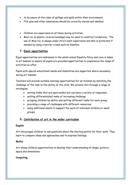- to be aware of the risks of spillage and spills within their environment
- PVA glue and other substances should be correctly stored and labelled
- Children are supervised at all times during activities.
- Mod-roc (a plaster covered bandage) may be used to construct sculptures. The use of Mod-roc is always under strict adult supervision and skin is protected if needed by using a barrier cream such as Vaseline.

## <span id="page-7-0"></span>**7. Equal opportunities**

Equal opportunities are addressed in the whole school Equality Policy and care is taken in art lessons to ensure all pupils are provided opportunities to experience the range of activities on offer.

Pupils with special educational needs and disabilities are supported where necessary during art lessons.

Teachers will provide suitable learning opportunities for all children by matching the challenge of the task to the ability of the child. We achieve this through a range of strategies:

- setting tasks that are open-ended and can have a variety of responses;
- setting differentiated tasks of increasing challenge
- grouping children by ability and setting different tasks for each group;
- providing a range of challenges with different resources;
- using additional adults to support the work of individual children or small groups.

## <span id="page-7-1"></span>8. **Contribution of art in the wider curriculum**

#### **English**

Art encourages children to ask questions about the starting points for their work. They learn to compare ideas and approaches and to express feelings.

#### **Maths**

Art allows children opportunities to develop their understanding of shape, pattern, space and dimensions.

### **Computing**